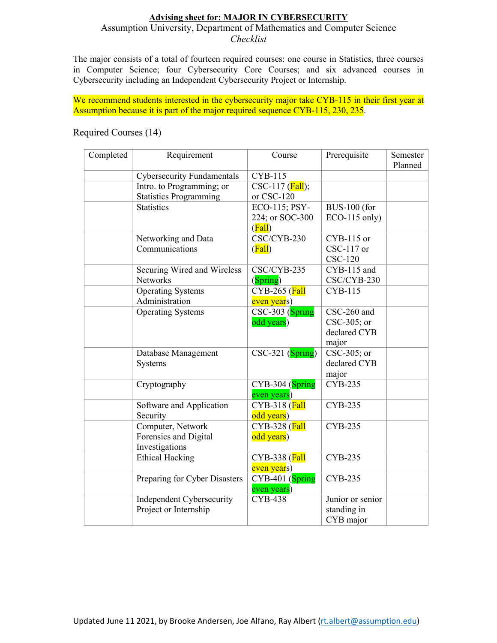## **Advising sheet for: MAJOR IN CYBERSECURITY**

## Assumption University, Department of Mathematics and Computer Science *Checklist*

The major consists of a total of fourteen required courses: one course in Statistics, three courses in Computer Science; four Cybersecurity Core Courses; and six advanced courses in Cybersecurity including an Independent Cybersecurity Project or Internship.

We recommend students interested in the cybersecurity major take CYB-115 in their first year at Assumption because it is part of the major required sequence CYB-115, 230, 235.

## Required Courses (14)

| Completed | Requirement                       | Course                                | Prerequisite        | Semester<br>Planned |
|-----------|-----------------------------------|---------------------------------------|---------------------|---------------------|
|           | <b>Cybersecurity Fundamentals</b> | CYB-115                               |                     |                     |
|           | Intro. to Programming; or         | $CSC-117$ (Fall);                     |                     |                     |
|           | <b>Statistics Programming</b>     | or CSC-120                            |                     |                     |
|           | <b>Statistics</b>                 | ECO-115; PSY-                         | <b>BUS-100</b> (for |                     |
|           |                                   | 224; or SOC-300                       | $ECO-115$ only)     |                     |
|           |                                   | (Fall)                                |                     |                     |
|           | Networking and Data               | CSC/CYB-230                           | CYB-115 or          |                     |
|           | Communications                    | (Fall)                                | $CSC-117$ or        |                     |
|           |                                   |                                       | $CSC-120$           |                     |
|           | Securing Wired and Wireless       | CSC/CYB-235                           | CYB-115 and         |                     |
|           | <b>Networks</b>                   | (Spring)                              | CSC/CYB-230         |                     |
|           | <b>Operating Systems</b>          | CYB-265 (Fall                         | <b>CYB-115</b>      |                     |
|           | Administration                    | even years)                           |                     |                     |
|           | <b>Operating Systems</b>          | CSC-303 (Spring                       | CSC-260 and         |                     |
|           |                                   | odd years)                            | CSC-305; or         |                     |
|           |                                   |                                       | declared CYB        |                     |
|           |                                   |                                       | major               |                     |
|           | Database Management               | $\overline{\text{CSC}}$ -321 (Spring) | CSC-305; or         |                     |
|           | Systems                           |                                       | declared CYB        |                     |
|           |                                   |                                       | major               |                     |
|           | Cryptography                      | CYB-304 (Spring                       | <b>CYB-235</b>      |                     |
|           |                                   | even years)                           |                     |                     |
|           | Software and Application          | CYB-318 (Fall                         | <b>CYB-235</b>      |                     |
|           | Security                          | odd years)                            |                     |                     |
|           | Computer, Network                 | CYB-328 (Fall                         | CYB-235             |                     |
|           | Forensics and Digital             | odd years)                            |                     |                     |
|           | Investigations                    |                                       |                     |                     |
|           | <b>Ethical Hacking</b>            | CYB-338 (Fall                         | <b>CYB-235</b>      |                     |
|           |                                   | even years)                           |                     |                     |
|           | Preparing for Cyber Disasters     | CYB-401 (Spring                       | <b>CYB-235</b>      |                     |
|           |                                   | even years)                           |                     |                     |
|           | Independent Cybersecurity         | <b>CYB-438</b>                        | Junior or senior    |                     |
|           | Project or Internship             |                                       | standing in         |                     |
|           |                                   |                                       | CYB major           |                     |